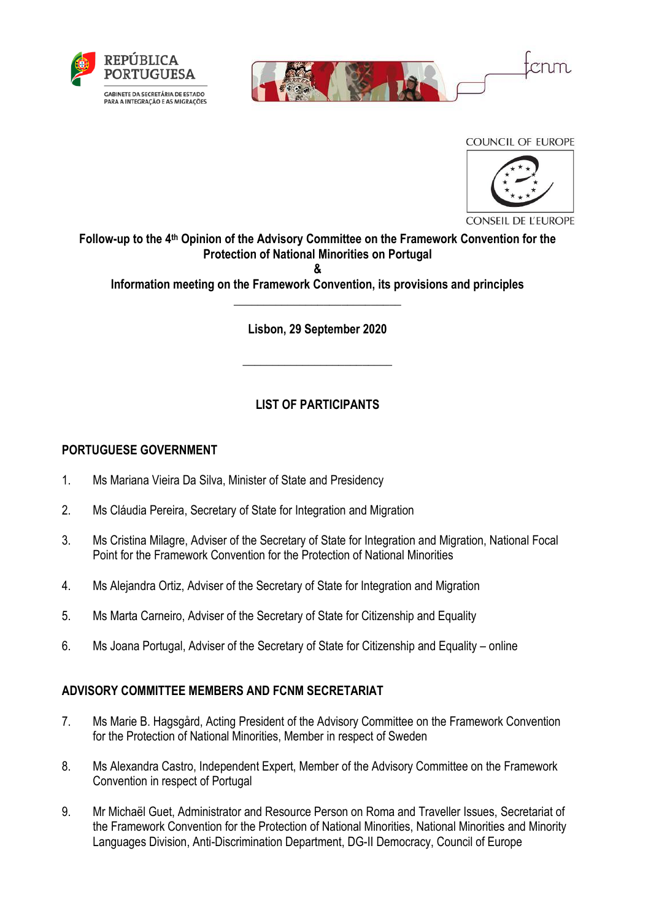



COUNCIL OF EUROPE



**CONSEIL DE L'EUROPE** 

**Follow-up to the 4th Opinion of the Advisory Committee on the Framework Convention for the Protection of National Minorities on Portugal &**

**Information meeting on the Framework Convention, its provisions and principles** \_\_\_\_\_\_\_\_\_\_\_\_\_\_\_\_\_\_\_\_\_\_\_\_\_\_\_\_

**Lisbon, 29 September 2020**

**\_\_\_\_\_\_\_\_\_\_\_\_\_\_\_\_\_\_\_\_\_\_\_\_\_**

# **LIST OF PARTICIPANTS**

#### **PORTUGUESE GOVERNMENT**

- 1. Ms Mariana Vieira Da Silva, Minister of State and Presidency
- 2. Ms Cláudia Pereira, Secretary of State for Integration and Migration
- 3. Ms Cristina Milagre, Adviser of the Secretary of State for Integration and Migration, National Focal Point for the Framework Convention for the Protection of National Minorities
- 4. Ms Alejandra Ortiz, Adviser of the Secretary of State for Integration and Migration
- 5. Ms Marta Carneiro, Adviser of the Secretary of State for Citizenship and Equality
- 6. Ms Joana Portugal, Adviser of the Secretary of State for Citizenship and Equality online

#### **ADVISORY COMMITTEE MEMBERS AND FCNM SECRETARIAT**

- 7. Ms Marie B. Hagsgård, Acting President of the Advisory Committee on the Framework Convention for the Protection of National Minorities, Member in respect of Sweden
- 8. Ms Alexandra Castro, Independent Expert, Member of the Advisory Committee on the Framework Convention in respect of Portugal
- 9. Mr Michaël Guet, Administrator and Resource Person on Roma and Traveller Issues, Secretariat of the Framework Convention for the Protection of National Minorities, National Minorities and Minority Languages Division, Anti-Discrimination Department, DG-II Democracy, Council of Europe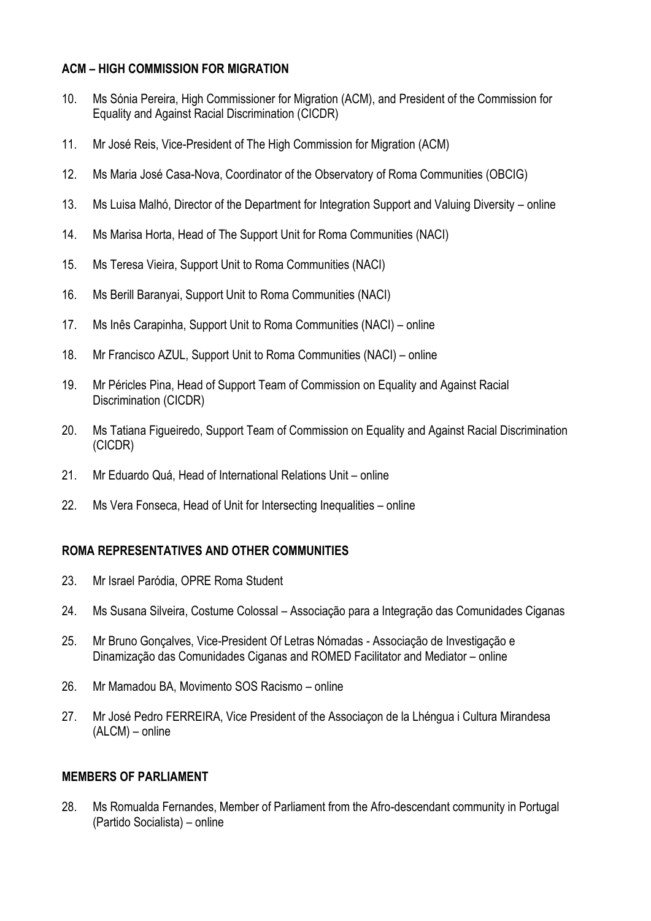### **ACM – HIGH COMMISSION FOR MIGRATION**

- 10. Ms Sónia Pereira, High Commissioner for Migration (ACM), and President of the Commission for Equality and Against Racial Discrimination (CICDR)
- 11. Mr José Reis, Vice-President of The High Commission for Migration (ACM)
- 12. Ms Maria José Casa-Nova, Coordinator of the Observatory of Roma Communities (OBCIG)
- 13. Ms Luisa Malhó, Director of the Department for Integration Support and Valuing Diversity online
- 14. Ms Marisa Horta, Head of The Support Unit for Roma Communities (NACI)
- 15. Ms Teresa Vieira, Support Unit to Roma Communities (NACI)
- 16. Ms Berill Baranyai, Support Unit to Roma Communities (NACI)
- 17. Ms Inês Carapinha, Support Unit to Roma Communities (NACI) online
- 18. Mr Francisco AZUL, Support Unit to Roma Communities (NACI) online
- 19. Mr Péricles Pina, Head of Support Team of Commission on Equality and Against Racial Discrimination (CICDR)
- 20. Ms Tatiana Figueiredo, Support Team of Commission on Equality and Against Racial Discrimination (CICDR)
- 21. Mr Eduardo Quá, Head of International Relations Unit online
- 22. Ms Vera Fonseca, Head of Unit for Intersecting Inequalities online

# **ROMA REPRESENTATIVES AND OTHER COMMUNITIES**

- 23. Mr Israel Paródia, OPRE Roma Student
- 24. Ms Susana Silveira, Costume Colossal Associação para a Integração das Comunidades Ciganas
- 25. Mr Bruno Gonçalves, Vice-President Of Letras Nómadas Associação de Investigação e Dinamização das Comunidades Ciganas and ROMED Facilitator and Mediator – online
- 26. Mr Mamadou BA, Movimento SOS Racismo online
- 27. Mr José Pedro FERREIRA, Vice President of the Associaçon de la Lhéngua i Cultura Mirandesa (ALCM) – online

#### **MEMBERS OF PARLIAMENT**

28. Ms Romualda Fernandes, Member of Parliament from the Afro-descendant community in Portugal (Partido Socialista) – online